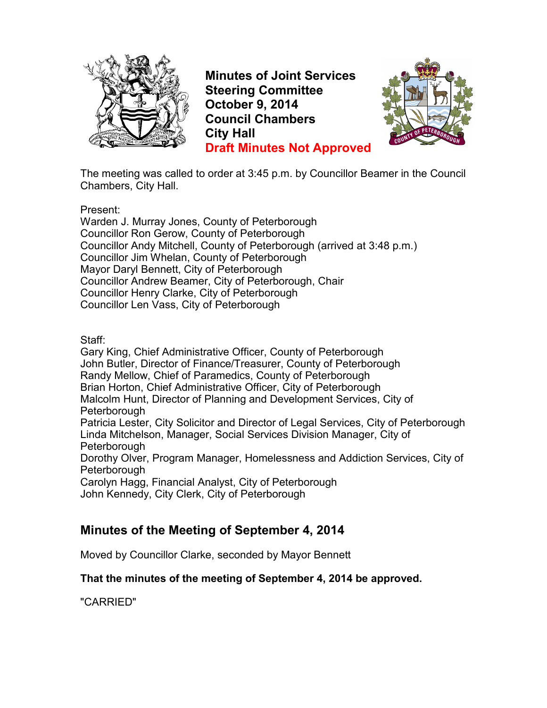

**Minutes of Joint Services Steering Committee October 9, 2014 Council Chambers City Hall Draft Minutes Not Approved**



The meeting was called to order at 3:45 p.m. by Councillor Beamer in the Council Chambers, City Hall.

Present:

Warden J. Murray Jones, County of Peterborough Councillor Ron Gerow, County of Peterborough Councillor Andy Mitchell, County of Peterborough (arrived at 3:48 p.m.) Councillor Jim Whelan, County of Peterborough Mayor Daryl Bennett, City of Peterborough Councillor Andrew Beamer, City of Peterborough, Chair Councillor Henry Clarke, City of Peterborough Councillor Len Vass, City of Peterborough

Staff:

Gary King, Chief Administrative Officer, County of Peterborough John Butler, Director of Finance/Treasurer, County of Peterborough Randy Mellow, Chief of Paramedics, County of Peterborough Brian Horton, Chief Administrative Officer, City of Peterborough Malcolm Hunt, Director of Planning and Development Services, City of Peterborough Patricia Lester, City Solicitor and Director of Legal Services, City of Peterborough Linda Mitchelson, Manager, Social Services Division Manager, City of Peterborough Dorothy Olver, Program Manager, Homelessness and Addiction Services, City of **Peterborough** 

Carolyn Hagg, Financial Analyst, City of Peterborough John Kennedy, City Clerk, City of Peterborough

# **Minutes of the Meeting of September 4, 2014**

Moved by Councillor Clarke, seconded by Mayor Bennett

#### **That the minutes of the meeting of September 4, 2014 be approved.**

"CARRIED"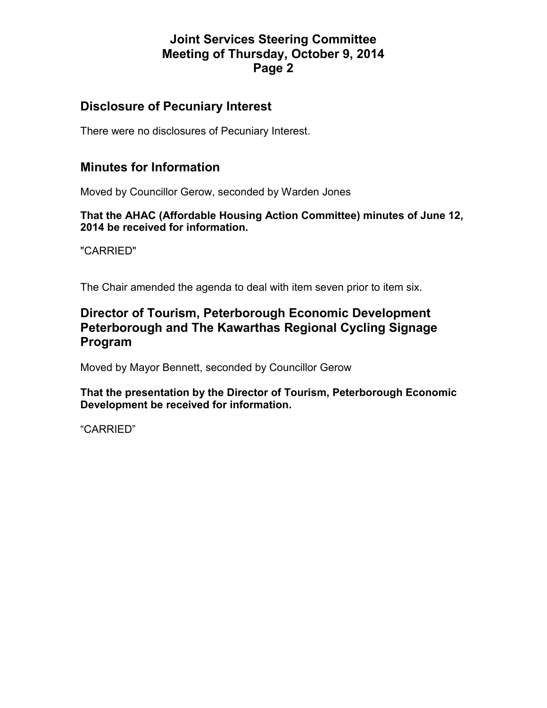### **Disclosure of Pecuniary Interest**

There were no disclosures of Pecuniary Interest.

#### **Minutes for Information**

Moved by Councillor Gerow, seconded by Warden Jones

**That the AHAC (Affordable Housing Action Committee) minutes of June 12, 2014 be received for information.** 

"CARRIED"

The Chair amended the agenda to deal with item seven prior to item six.

#### **Director of Tourism, Peterborough Economic Development Peterborough and The Kawarthas Regional Cycling Signage Program**

Moved by Mayor Bennett, seconded by Councillor Gerow

**That the presentation by the Director of Tourism, Peterborough Economic Development be received for information.** 

"CARRIED"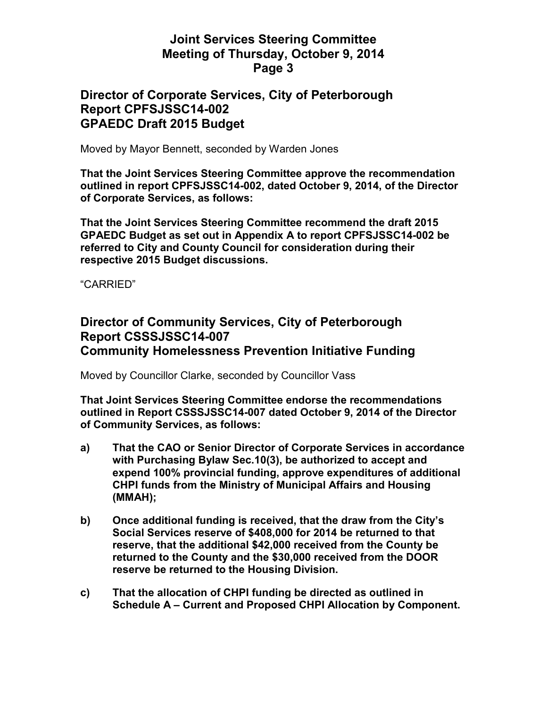#### **Director of Corporate Services, City of Peterborough Report CPFSJSSC14-002 GPAEDC Draft 2015 Budget**

Moved by Mayor Bennett, seconded by Warden Jones

**That the Joint Services Steering Committee approve the recommendation outlined in report CPFSJSSC14-002, dated October 9, 2014, of the Director of Corporate Services, as follows:** 

**That the Joint Services Steering Committee recommend the draft 2015 GPAEDC Budget as set out in Appendix A to report CPFSJSSC14-002 be referred to City and County Council for consideration during their respective 2015 Budget discussions.** 

"CARRIED"

### **Director of Community Services, City of Peterborough Report CSSSJSSC14-007 Community Homelessness Prevention Initiative Funding**

Moved by Councillor Clarke, seconded by Councillor Vass

**That Joint Services Steering Committee endorse the recommendations outlined in Report CSSSJSSC14-007 dated October 9, 2014 of the Director of Community Services, as follows:** 

- **a) That the CAO or Senior Director of Corporate Services in accordance with Purchasing Bylaw Sec.10(3), be authorized to accept and expend 100% provincial funding, approve expenditures of additional CHPI funds from the Ministry of Municipal Affairs and Housing (MMAH);**
- **b) Once additional funding is received, that the draw from the City's Social Services reserve of \$408,000 for 2014 be returned to that reserve, that the additional \$42,000 received from the County be returned to the County and the \$30,000 received from the DOOR reserve be returned to the Housing Division.**
- **c) That the allocation of CHPI funding be directed as outlined in Schedule A – Current and Proposed CHPI Allocation by Component.**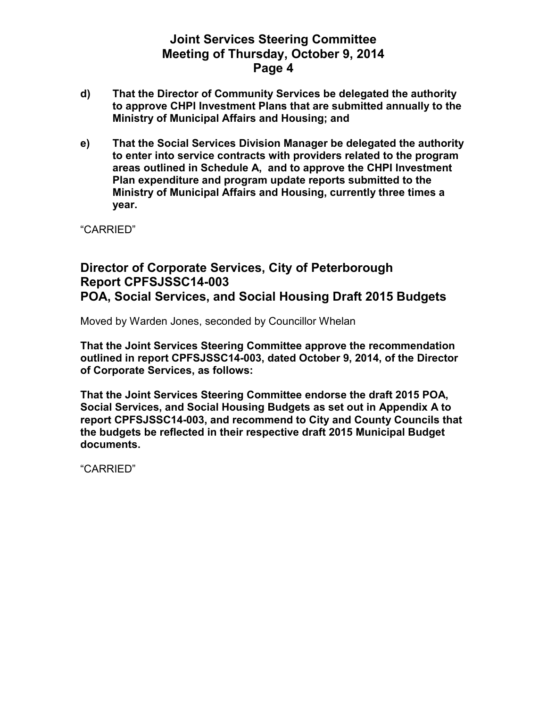- **d) That the Director of Community Services be delegated the authority to approve CHPI Investment Plans that are submitted annually to the Ministry of Municipal Affairs and Housing; and**
- **e) That the Social Services Division Manager be delegated the authority to enter into service contracts with providers related to the program areas outlined in Schedule A, and to approve the CHPI Investment Plan expenditure and program update reports submitted to the Ministry of Municipal Affairs and Housing, currently three times a year.**

"CARRIED"

#### **Director of Corporate Services, City of Peterborough Report CPFSJSSC14-003 POA, Social Services, and Social Housing Draft 2015 Budgets**

Moved by Warden Jones, seconded by Councillor Whelan

**That the Joint Services Steering Committee approve the recommendation outlined in report CPFSJSSC14-003, dated October 9, 2014, of the Director of Corporate Services, as follows:** 

**That the Joint Services Steering Committee endorse the draft 2015 POA, Social Services, and Social Housing Budgets as set out in Appendix A to report CPFSJSSC14-003, and recommend to City and County Councils that the budgets be reflected in their respective draft 2015 Municipal Budget documents.** 

"CARRIED"